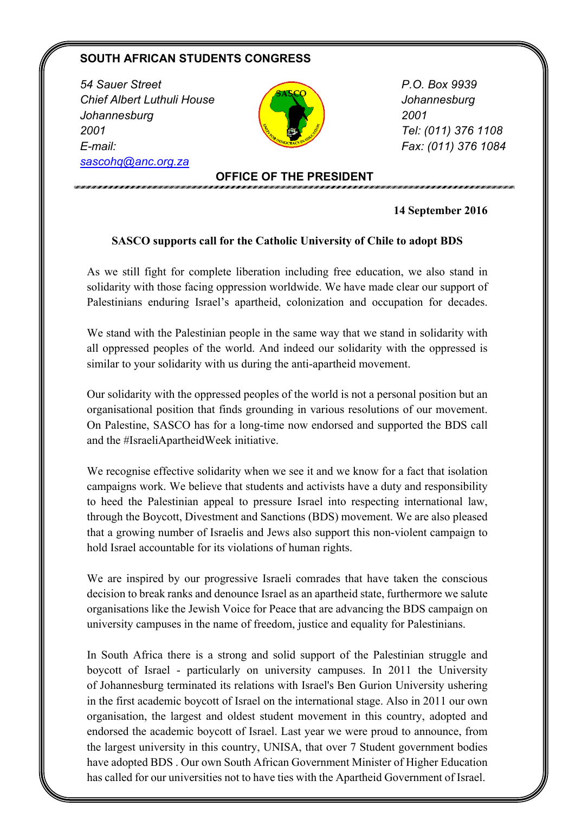## **SOUTH AFRICAN STUDENTS CONGRESS**

*54 Sauer Street Chief Albert Luthuli House Johannesburg 2001 E-mail: sascohq@anc.org.za*



 *P.O. Box 9939 Johannesburg 2001 Tel: (011) 376 1108 Fax: (011) 376 1084*

## **OFFICE OF THE PRESIDENT**

**14 September 2016**

## **SASCO supports call for the Catholic University of Chile to adopt BDS**

As we still fight for complete liberation including free education, we also stand in solidarity with those facing oppression worldwide. We have made clear our support of Palestinians enduring Israel's apartheid, colonization and occupation for decades.

We stand with the Palestinian people in the same way that we stand in solidarity with all oppressed peoples of the world. And indeed our solidarity with the oppressed is similar to your solidarity with us during the anti-apartheid movement.

Our solidarity with the oppressed peoples of the world is not a personal position but an organisational position that finds grounding in various resolutions of our movement. On Palestine, SASCO has for a long-time now endorsed and supported the BDS call and the #IsraeliApartheidWeek initiative.

We recognise effective solidarity when we see it and we know for a fact that isolation campaigns work. We believe that students and activists have a duty and responsibility to heed the Palestinian appeal to pressure Israel into respecting international law, through the Boycott, Divestment and Sanctions (BDS) movement. We are also pleased that a growing number of Israelis and Jews also support this non-violent campaign to hold Israel accountable for its violations of human rights.

We are inspired by our progressive Israeli comrades that have taken the conscious decision to break ranks and denounce Israel as an apartheid state, furthermore we salute organisations like the Jewish Voice for Peace that are advancing the BDS campaign on university campuses in the name of freedom, justice and equality for Palestinians.

In South Africa there is a strong and solid support of the Palestinian struggle and boycott of Israel - particularly on university campuses. In 2011 the University of Johannesburg terminated its relations with Israel's Ben Gurion University ushering in the first academic boycott of Israel on the international stage. Also in 2011 our own organisation, the largest and oldest student movement in this country, adopted and endorsed the academic boycott of Israel. Last year we were proud to announce, from the largest university in this country, UNISA, that over 7 Student government bodies have adopted BDS . Our own South African Government Minister of Higher Education has called for our universities not to have ties with the Apartheid Government of Israel.